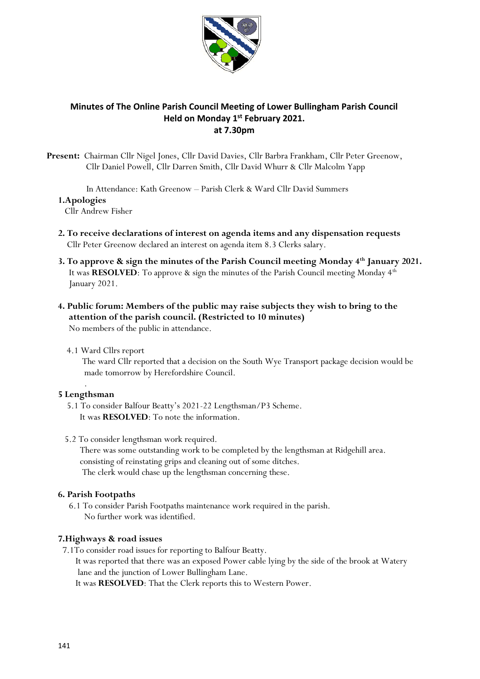

# **Minutes of The Online Parish Council Meeting of Lower Bullingham Parish Council Held on Monday 1 st February 2021. at 7.30pm**

**Present:** Chairman Cllr Nigel Jones, Cllr David Davies, Cllr Barbra Frankham, Cllr Peter Greenow, Cllr Daniel Powell, Cllr Darren Smith, Cllr David Whurr & Cllr Malcolm Yapp

In Attendance: Kath Greenow – Parish Clerk & Ward Cllr David Summers

#### **1.Apologies**

Cllr Andrew Fisher

- **2. To receive declarations of interest on agenda items and any dispensation requests** Cllr Peter Greenow declared an interest on agenda item 8.3 Clerks salary.
- **3. To approve & sign the minutes of the Parish Council meeting Monday 4th January 2021.**  It was **RESOLVED**: To approve & sign the minutes of the Parish Council meeting Monday 4th January 2021.
- **4. Public forum: Members of the public may raise subjects they wish to bring to the attention of the parish council. (Restricted to 10 minutes)** No members of the public in attendance.
	- 4.1 Ward Cllrs report

 The ward Cllr reported that a decision on the South Wye Transport package decision would be made tomorrow by Herefordshire Council.

#### . **5 Lengthsman**

- 5.1 To consider Balfour Beatty's 2021-22 Lengthsman/P3 Scheme. It was **RESOLVED**: To note the information.
- 5.2 To consider lengthsman work required.

 There was some outstanding work to be completed by the lengthsman at Ridgehill area. consisting of reinstating grips and cleaning out of some ditches. The clerk would chase up the lengthsman concerning these.

# **6. Parish Footpaths**

 6.1 To consider Parish Footpaths maintenance work required in the parish. No further work was identified.

# **7.Highways & road issues**

7.1To consider road issues for reporting to Balfour Beatty.

 It was reported that there was an exposed Power cable lying by the side of the brook at Watery lane and the junction of Lower Bullingham Lane.

It was **RESOLVED**: That the Clerk reports this to Western Power.